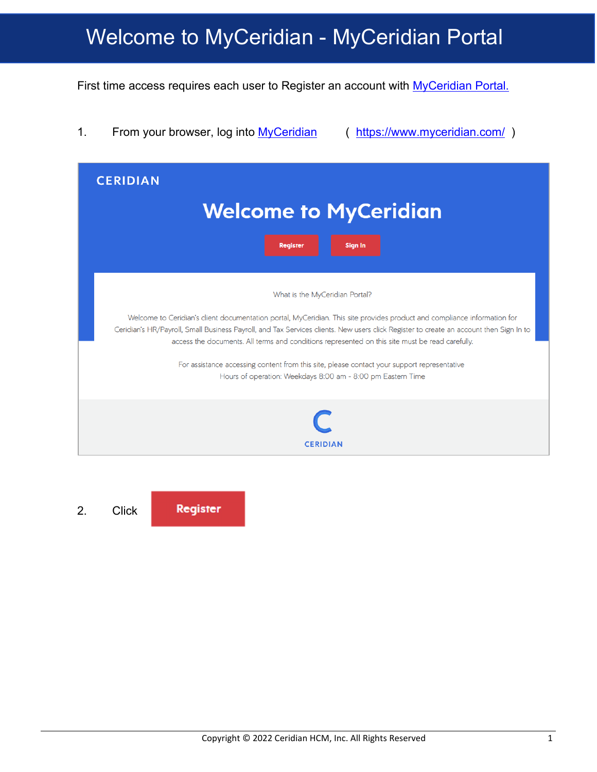First time access requires each user to Register an account with [MyCeridian Portal.](https://www.myceridian.com/)

1. From your browser, log into [MyCeridian](https://www.myceridian.com/) (https://www.myceridian.com/)

| <b>CERIDIAN</b>                                                                                                                                                                                                                                                                                                                                                                                                                                                                                                                                                       |  |  |  |  |  |
|-----------------------------------------------------------------------------------------------------------------------------------------------------------------------------------------------------------------------------------------------------------------------------------------------------------------------------------------------------------------------------------------------------------------------------------------------------------------------------------------------------------------------------------------------------------------------|--|--|--|--|--|
| <b>Welcome to MyCeridian</b>                                                                                                                                                                                                                                                                                                                                                                                                                                                                                                                                          |  |  |  |  |  |
| <b>Sign In</b><br><b>Register</b>                                                                                                                                                                                                                                                                                                                                                                                                                                                                                                                                     |  |  |  |  |  |
| What is the MyCeridian Portal?<br>Welcome to Ceridian's client documentation portal, MyCeridian. This site provides product and compliance information for<br>Ceridian's HR/Payroll, Small Business Payroll, and Tax Services clients. New users click Register to create an account then Sign In to<br>access the documents. All terms and conditions represented on this site must be read carefully.<br>For assistance accessing content from this site, please contact your support representative<br>Hours of operation: Weekdays 8:00 am - 8:00 pm Eastern Time |  |  |  |  |  |
| <b>CERIDIAN</b>                                                                                                                                                                                                                                                                                                                                                                                                                                                                                                                                                       |  |  |  |  |  |

Register 2. Click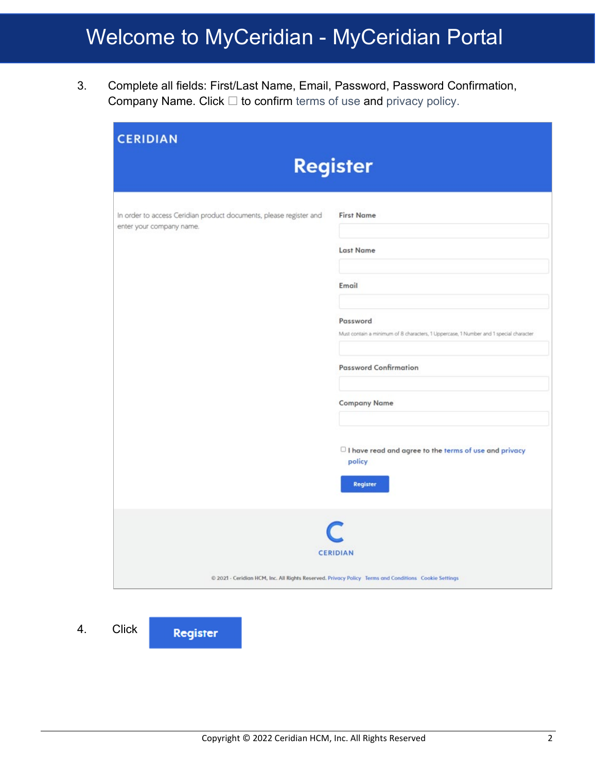3. Complete all fields: First/Last Name, Email, Password, Password Confirmation, Company Name. Click  $\Box$  to confirm terms of use and privacy policy.

| <b>CERIDIAN</b>                                                                                      |                                                                                                   |  |  |  |  |  |
|------------------------------------------------------------------------------------------------------|---------------------------------------------------------------------------------------------------|--|--|--|--|--|
| <b>Register</b>                                                                                      |                                                                                                   |  |  |  |  |  |
|                                                                                                      |                                                                                                   |  |  |  |  |  |
| In order to access Ceridian product documents, please register and<br>enter your company name.       | <b>First Name</b>                                                                                 |  |  |  |  |  |
|                                                                                                      | <b>Last Name</b>                                                                                  |  |  |  |  |  |
|                                                                                                      | Email                                                                                             |  |  |  |  |  |
|                                                                                                      | Password<br>Must contain a minimum of 8 characters, 1 Uppercase, 1 Number and 1 special character |  |  |  |  |  |
|                                                                                                      | <b>Password Confirmation</b>                                                                      |  |  |  |  |  |
|                                                                                                      | <b>Company Name</b>                                                                               |  |  |  |  |  |
|                                                                                                      | $\Box$ I have read and agree to the terms of use and privacy<br>policy<br><b>Register</b>         |  |  |  |  |  |
| <b>CERIDIAN</b>                                                                                      |                                                                                                   |  |  |  |  |  |
| @ 2021 - Ceridian HCM, Inc. All Rights Reserved. Privacy Policy Terms and Conditions Cookie Settings |                                                                                                   |  |  |  |  |  |

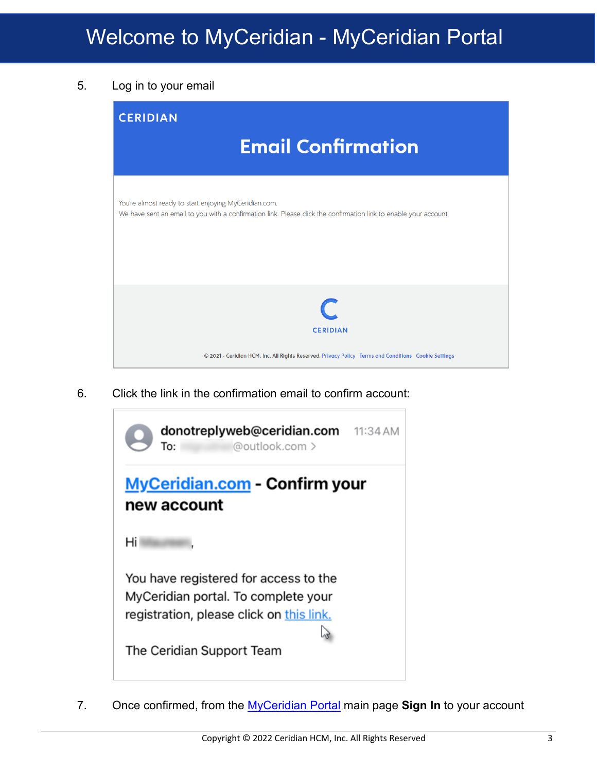5. Log in to your email



6. Click the link in the confirmation email to confirm account:



7. Once confirmed, from the [MyCeridian Portal](https://www.myceridian.com/) main page **Sign In** to your account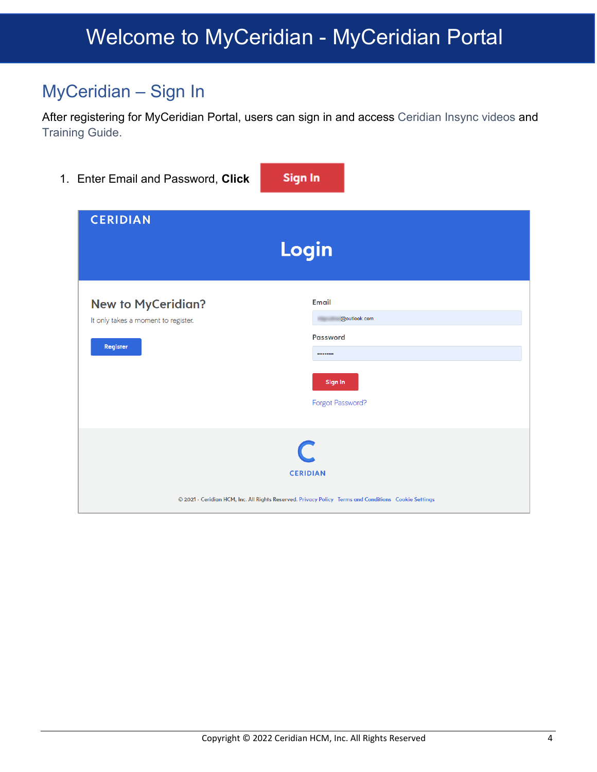#### MyCeridian – Sign In

After registering for MyCeridian Portal, users can sign in and access Ceridian Insync videos and Training Guide.

| 1. Enter Email and Password, Click                                           | <b>Sign In</b>                                                                                                               |  |  |  |  |
|------------------------------------------------------------------------------|------------------------------------------------------------------------------------------------------------------------------|--|--|--|--|
| <b>CERIDIAN</b>                                                              | Login                                                                                                                        |  |  |  |  |
| <b>New to MyCeridian?</b><br>It only takes a moment to register.<br>Register | Email<br>@outlook.com<br><b>Password</b><br><br>Sign In<br>Forgot Password?                                                  |  |  |  |  |
|                                                                              | C<br><b>CERIDIAN</b><br>© 2021 - Ceridian HCM, Inc. All Rights Reserved. Privacy Policy Terms and Conditions Cookie Settings |  |  |  |  |